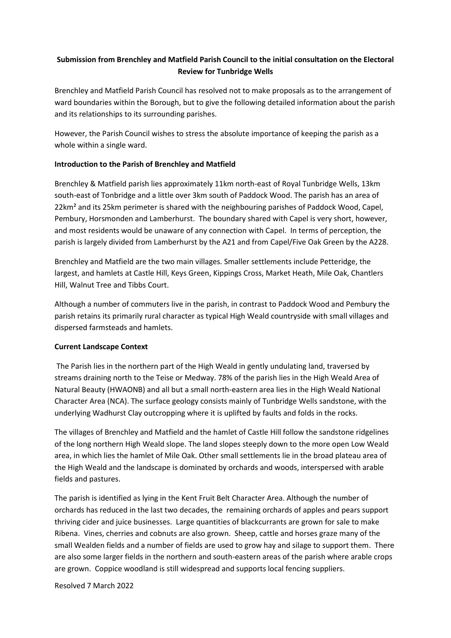# **Submission from Brenchley and Matfield Parish Council to the initial consultation on the Electoral Review for Tunbridge Wells**

Brenchley and Matfield Parish Council has resolved not to make proposals as to the arrangement of ward boundaries within the Borough, but to give the following detailed information about the parish and its relationships to its surrounding parishes.

However, the Parish Council wishes to stress the absolute importance of keeping the parish as a whole within a single ward.

# **Introduction to the Parish of Brenchley and Matfield**

Brenchley & Matfield parish lies approximately 11km north-east of Royal Tunbridge Wells, 13km south-east of Tonbridge and a little over 3km south of Paddock Wood. The parish has an area of 22km<sup>2</sup> and its 25km perimeter is shared with the neighbouring parishes of Paddock Wood, Capel, Pembury, Horsmonden and Lamberhurst. The boundary shared with Capel is very short, however, and most residents would be unaware of any connection with Capel. In terms of perception, the parish is largely divided from Lamberhurst by the A21 and from Capel/Five Oak Green by the A228.

Brenchley and Matfield are the two main villages. Smaller settlements include Petteridge, the largest, and hamlets at Castle Hill, Keys Green, Kippings Cross, Market Heath, Mile Oak, Chantlers Hill, Walnut Tree and Tibbs Court.

Although a number of commuters live in the parish, in contrast to Paddock Wood and Pembury the parish retains its primarily rural character as typical High Weald countryside with small villages and dispersed farmsteads and hamlets.

# **Current Landscape Context**

The Parish lies in the northern part of the High Weald in gently undulating land, traversed by streams draining north to the Teise or Medway. 78% of the parish lies in the High Weald Area of Natural Beauty (HWAONB) and all but a small north-eastern area lies in the High Weald National Character Area (NCA). The surface geology consists mainly of Tunbridge Wells sandstone, with the underlying Wadhurst Clay outcropping where it is uplifted by faults and folds in the rocks.

The villages of Brenchley and Matfield and the hamlet of Castle Hill follow the sandstone ridgelines of the long northern High Weald slope. The land slopes steeply down to the more open Low Weald area, in which lies the hamlet of Mile Oak. Other small settlements lie in the broad plateau area of the High Weald and the landscape is dominated by orchards and woods, interspersed with arable fields and pastures.

The parish is identified as lying in the Kent Fruit Belt Character Area. Although the number of orchards has reduced in the last two decades, the remaining orchards of apples and pears support thriving cider and juice businesses. Large quantities of blackcurrants are grown for sale to make Ribena. Vines, cherries and cobnuts are also grown. Sheep, cattle and horses graze many of the small Wealden fields and a number of fields are used to grow hay and silage to support them. There are also some larger fields in the northern and south-eastern areas of the parish where arable crops are grown. Coppice woodland is still widespread and supports local fencing suppliers.

Resolved 7 March 2022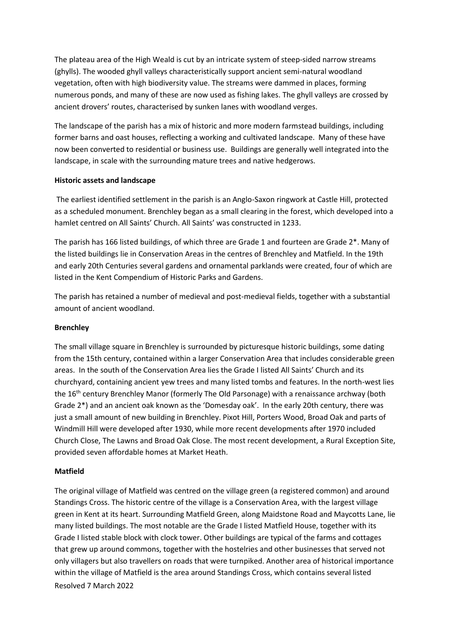The plateau area of the High Weald is cut by an intricate system of steep-sided narrow streams (ghylls). The wooded ghyll valleys characteristically support ancient semi-natural woodland vegetation, often with high biodiversity value. The streams were dammed in places, forming numerous ponds, and many of these are now used as fishing lakes. The ghyll valleys are crossed by ancient drovers' routes, characterised by sunken lanes with woodland verges.

The landscape of the parish has a mix of historic and more modern farmstead buildings, including former barns and oast houses, reflecting a working and cultivated landscape. Many of these have now been converted to residential or business use. Buildings are generally well integrated into the landscape, in scale with the surrounding mature trees and native hedgerows.

### **Historic assets and landscape**

The earliest identified settlement in the parish is an Anglo-Saxon ringwork at Castle Hill, protected as a scheduled monument. Brenchley began as a small clearing in the forest, which developed into a hamlet centred on All Saints' Church. All Saints' was constructed in 1233.

The parish has 166 listed buildings, of which three are Grade 1 and fourteen are Grade 2\*. Many of the listed buildings lie in Conservation Areas in the centres of Brenchley and Matfield. In the 19th and early 20th Centuries several gardens and ornamental parklands were created, four of which are listed in the Kent Compendium of Historic Parks and Gardens.

The parish has retained a number of medieval and post-medieval fields, together with a substantial amount of ancient woodland.

# **Brenchley**

The small village square in Brenchley is surrounded by picturesque historic buildings, some dating from the 15th century, contained within a larger Conservation Area that includes considerable green areas. In the south of the Conservation Area lies the Grade I listed All Saints' Church and its churchyard, containing ancient yew trees and many listed tombs and features. In the north-west lies the 16<sup>th</sup> century Brenchley Manor (formerly The Old Parsonage) with a renaissance archway (both Grade 2\*) and an ancient oak known as the 'Domesday oak'. In the early 20th century, there was just a small amount of new building in Brenchley. Pixot Hill, Porters Wood, Broad Oak and parts of Windmill Hill were developed after 1930, while more recent developments after 1970 included Church Close, The Lawns and Broad Oak Close. The most recent development, a Rural Exception Site, provided seven affordable homes at Market Heath.

# **Matfield**

Resolved 7 March 2022 The original village of Matfield was centred on the village green (a registered common) and around Standings Cross. The historic centre of the village is a Conservation Area, with the largest village green in Kent at its heart. Surrounding Matfield Green, along Maidstone Road and Maycotts Lane, lie many listed buildings. The most notable are the Grade I listed Matfield House, together with its Grade I listed stable block with clock tower. Other buildings are typical of the farms and cottages that grew up around commons, together with the hostelries and other businesses that served not only villagers but also travellers on roads that were turnpiked. Another area of historical importance within the village of Matfield is the area around Standings Cross, which contains several listed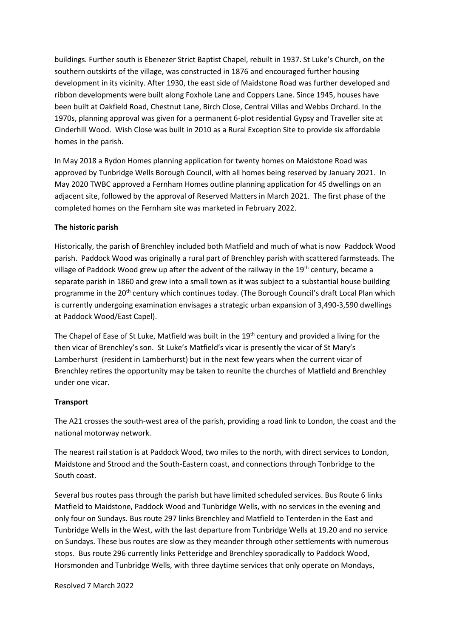buildings. Further south is Ebenezer Strict Baptist Chapel, rebuilt in 1937. St Luke's Church, on the southern outskirts of the village, was constructed in 1876 and encouraged further housing development in its vicinity. After 1930, the east side of Maidstone Road was further developed and ribbon developments were built along Foxhole Lane and Coppers Lane. Since 1945, houses have been built at Oakfield Road, Chestnut Lane, Birch Close, Central Villas and Webbs Orchard. In the 1970s, planning approval was given for a permanent 6-plot residential Gypsy and Traveller site at Cinderhill Wood. Wish Close was built in 2010 as a Rural Exception Site to provide six affordable homes in the parish.

In May 2018 a Rydon Homes planning application for twenty homes on Maidstone Road was approved by Tunbridge Wells Borough Council, with all homes being reserved by January 2021. In May 2020 TWBC approved a Fernham Homes outline planning application for 45 dwellings on an adjacent site, followed by the approval of Reserved Matters in March 2021. The first phase of the completed homes on the Fernham site was marketed in February 2022.

### **The historic parish**

Historically, the parish of Brenchley included both Matfield and much of what is now Paddock Wood parish. Paddock Wood was originally a rural part of Brenchley parish with scattered farmsteads. The village of Paddock Wood grew up after the advent of the railway in the 19<sup>th</sup> century, became a separate parish in 1860 and grew into a small town as it was subject to a substantial house building programme in the 20<sup>th</sup> century which continues today. (The Borough Council's draft Local Plan which is currently undergoing examination envisages a strategic urban expansion of 3,490-3,590 dwellings at Paddock Wood/East Capel).

The Chapel of Ease of St Luke, Matfield was built in the 19<sup>th</sup> century and provided a living for the then vicar of Brenchley's son. St Luke's Matfield's vicar is presently the vicar of St Mary's Lamberhurst (resident in Lamberhurst) but in the next few years when the current vicar of Brenchley retires the opportunity may be taken to reunite the churches of Matfield and Brenchley under one vicar.

#### **Transport**

The A21 crosses the south-west area of the parish, providing a road link to London, the coast and the national motorway network.

The nearest rail station is at Paddock Wood, two miles to the north, with direct services to London, Maidstone and Strood and the South-Eastern coast, and connections through Tonbridge to the South coast.

Several bus routes pass through the parish but have limited scheduled services. Bus Route 6 links Matfield to Maidstone, Paddock Wood and Tunbridge Wells, with no services in the evening and only four on Sundays. Bus route 297 links Brenchley and Matfield to Tenterden in the East and Tunbridge Wells in the West, with the last departure from Tunbridge Wells at 19.20 and no service on Sundays. These bus routes are slow as they meander through other settlements with numerous stops. Bus route 296 currently links Petteridge and Brenchley sporadically to Paddock Wood, Horsmonden and Tunbridge Wells, with three daytime services that only operate on Mondays,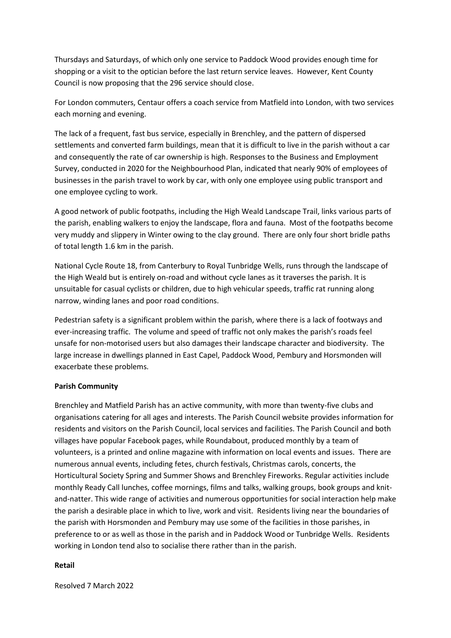Thursdays and Saturdays, of which only one service to Paddock Wood provides enough time for shopping or a visit to the optician before the last return service leaves. However, Kent County Council is now proposing that the 296 service should close.

For London commuters, Centaur offers a coach service from Matfield into London, with two services each morning and evening.

The lack of a frequent, fast bus service, especially in Brenchley, and the pattern of dispersed settlements and converted farm buildings, mean that it is difficult to live in the parish without a car and consequently the rate of car ownership is high. Responses to the Business and Employment Survey, conducted in 2020 for the Neighbourhood Plan, indicated that nearly 90% of employees of businesses in the parish travel to work by car, with only one employee using public transport and one employee cycling to work.

A good network of public footpaths, including the High Weald Landscape Trail, links various parts of the parish, enabling walkers to enjoy the landscape, flora and fauna. Most of the footpaths become very muddy and slippery in Winter owing to the clay ground. There are only four short bridle paths of total length 1.6 km in the parish.

National Cycle Route 18, from Canterbury to Royal Tunbridge Wells, runs through the landscape of the High Weald but is entirely on-road and without cycle lanes as it traverses the parish. It is unsuitable for casual cyclists or children, due to high vehicular speeds, traffic rat running along narrow, winding lanes and poor road conditions.

Pedestrian safety is a significant problem within the parish, where there is a lack of footways and ever-increasing traffic. The volume and speed of traffic not only makes the parish's roads feel unsafe for non-motorised users but also damages their landscape character and biodiversity. The large increase in dwellings planned in East Capel, Paddock Wood, Pembury and Horsmonden will exacerbate these problems.

#### **Parish Community**

Brenchley and Matfield Parish has an active community, with more than twenty-five clubs and organisations catering for all ages and interests. The Parish Council website provides information for residents and visitors on the Parish Council, local services and facilities. The Parish Council and both villages have popular Facebook pages, while Roundabout, produced monthly by a team of volunteers, is a printed and online magazine with information on local events and issues. There are numerous annual events, including fetes, church festivals, Christmas carols, concerts, the Horticultural Society Spring and Summer Shows and Brenchley Fireworks. Regular activities include monthly Ready Call lunches, coffee mornings, films and talks, walking groups, book groups and knitand-natter. This wide range of activities and numerous opportunities for social interaction help make the parish a desirable place in which to live, work and visit. Residents living near the boundaries of the parish with Horsmonden and Pembury may use some of the facilities in those parishes, in preference to or as well as those in the parish and in Paddock Wood or Tunbridge Wells. Residents working in London tend also to socialise there rather than in the parish.

#### **Retail**

Resolved 7 March 2022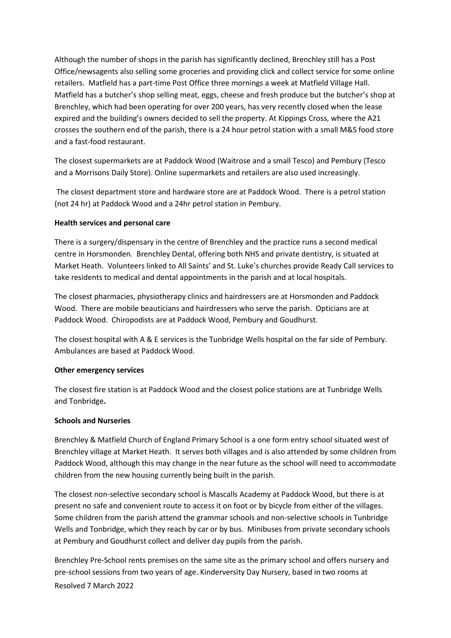Although the number of shops in the parish has significantly declined, Brenchley still has a Post Office/newsagents also selling some groceries and providing click and collect service for some online retailers. Matfield has a part-time Post Office three mornings a week at Matfield Village Hall. Matfield has a butcher's shop selling meat, eggs, cheese and fresh produce but the butcher's shop at Brenchley, which had been operating for over 200 years, has very recently closed when the lease expired and the building's owners decided to sell the property. At Kippings Cross, where the A21 crosses the southern end of the parish, there is a 24 hour petrol station with a small M&S food store and a fast-food restaurant.

The closest supermarkets are at Paddock Wood (Waitrose and a small Tesco) and Pembury (Tesco and a Morrisons Daily Store). Online supermarkets and retailers are also used increasingly.

The closest department store and hardware store are at Paddock Wood. There is a petrol station (not 24 hr) at Paddock Wood and a 24hr petrol station in Pembury.

### **Health services and personal care**

There is a surgery/dispensary in the centre of Brenchley and the practice runs a second medical centre in Horsmonden. Brenchley Dental, offering both NHS and private dentistry, is situated at Market Heath. Volunteers linked to All Saints' and St. Luke's churches provide Ready Call services to take residents to medical and dental appointments in the parish and at local hospitals.

The closest pharmacies, physiotherapy clinics and hairdressers are at Horsmonden and Paddock Wood. There are mobile beauticians and hairdressers who serve the parish. Opticians are at Paddock Wood. Chiropodists are at Paddock Wood, Pembury and Goudhurst.

The closest hospital with A & E services is the Tunbridge Wells hospital on the far side of Pembury. Ambulances are based at Paddock Wood.

#### **Other emergency services**

The closest fire station is at Paddock Wood and the closest police stations are at Tunbridge Wells and Tonbridge**.**

#### **Schools and Nurseries**

Brenchley & Matfield Church of England Primary School is a one form entry school situated west of Brenchley village at Market Heath. It serves both villages and is also attended by some children from Paddock Wood, although this may change in the near future as the school will need to accommodate children from the new housing currently being built in the parish.

The closest non-selective secondary school is Mascalls Academy at Paddock Wood, but there is at present no safe and convenient route to access it on foot or by bicycle from either of the villages. Some children from the parish attend the grammar schools and non-selective schools in Tunbridge Wells and Tonbridge, which they reach by car or by bus. Minibuses from private secondary schools at Pembury and Goudhurst collect and deliver day pupils from the parish.

Resolved 7 March 2022 Brenchley Pre-School rents premises on the same site as the primary school and offers nursery and pre-school sessions from two years of age. Kinderversity Day Nursery, based in two rooms at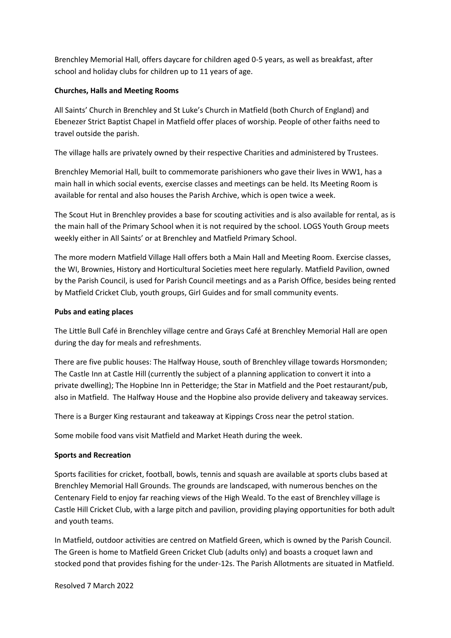Brenchley Memorial Hall, offers daycare for children aged 0-5 years, as well as breakfast, after school and holiday clubs for children up to 11 years of age.

### **Churches, Halls and Meeting Rooms**

All Saints' Church in Brenchley and St Luke's Church in Matfield (both Church of England) and Ebenezer Strict Baptist Chapel in Matfield offer places of worship. People of other faiths need to travel outside the parish.

The village halls are privately owned by their respective Charities and administered by Trustees.

Brenchley Memorial Hall, built to commemorate parishioners who gave their lives in WW1, has a main hall in which social events, exercise classes and meetings can be held. Its Meeting Room is available for rental and also houses the Parish Archive, which is open twice a week.

The Scout Hut in Brenchley provides a base for scouting activities and is also available for rental, as is the main hall of the Primary School when it is not required by the school. LOGS Youth Group meets weekly either in All Saints' or at Brenchley and Matfield Primary School.

The more modern Matfield Village Hall offers both a Main Hall and Meeting Room. Exercise classes, the WI, Brownies, History and Horticultural Societies meet here regularly. Matfield Pavilion, owned by the Parish Council, is used for Parish Council meetings and as a Parish Office, besides being rented by Matfield Cricket Club, youth groups, Girl Guides and for small community events.

#### **Pubs and eating places**

The Little Bull Café in Brenchley village centre and Grays Café at Brenchley Memorial Hall are open during the day for meals and refreshments.

There are five public houses: The Halfway House, south of Brenchley village towards Horsmonden; The Castle Inn at Castle Hill (currently the subject of a planning application to convert it into a private dwelling); The Hopbine Inn in Petteridge; the Star in Matfield and the Poet restaurant/pub, also in Matfield. The Halfway House and the Hopbine also provide delivery and takeaway services.

There is a Burger King restaurant and takeaway at Kippings Cross near the petrol station.

Some mobile food vans visit Matfield and Market Heath during the week.

#### **Sports and Recreation**

Sports facilities for cricket, football, bowls, tennis and squash are available at sports clubs based at Brenchley Memorial Hall Grounds. The grounds are landscaped, with numerous benches on the Centenary Field to enjoy far reaching views of the High Weald. To the east of Brenchley village is Castle Hill Cricket Club, with a large pitch and pavilion, providing playing opportunities for both adult and youth teams.

In Matfield, outdoor activities are centred on Matfield Green, which is owned by the Parish Council. The Green is home to Matfield Green Cricket Club (adults only) and boasts a croquet lawn and stocked pond that provides fishing for the under-12s. The Parish Allotments are situated in Matfield.